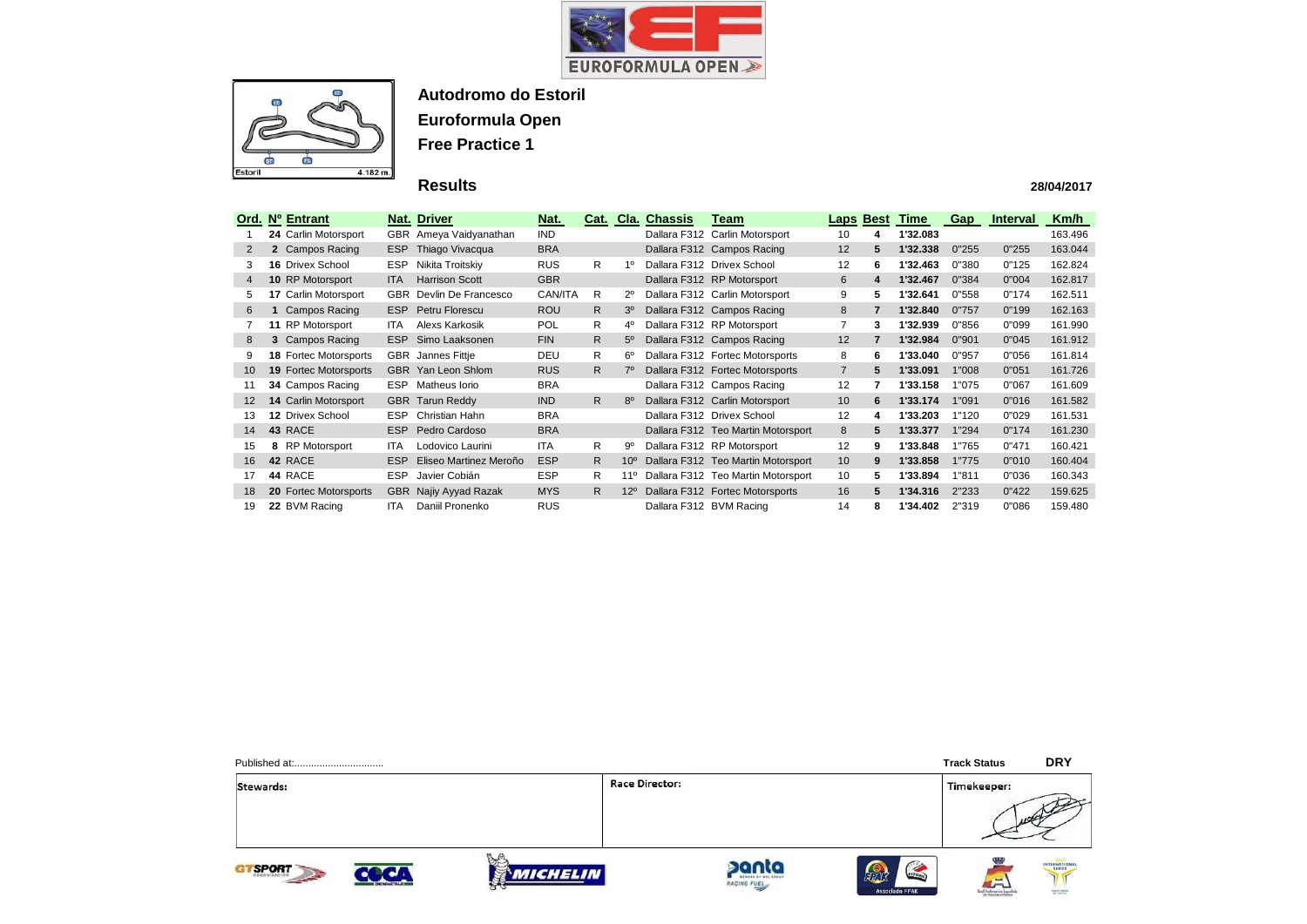



## **Results**

|                 | Ord. Nº Entrant              |            | <b>Nat. Driver</b>        | Nat.       |    |                 | <b>Cat. Cla. Chassis</b> | Team                               |                 | <b>Laps Best</b> | Time     | <b>Gap</b> | <b>Interval</b> | Km/h    |
|-----------------|------------------------------|------------|---------------------------|------------|----|-----------------|--------------------------|------------------------------------|-----------------|------------------|----------|------------|-----------------|---------|
|                 | 24 Carlin Motorsport         |            | GBR Ameya Vaidyanathan    | IND.       |    |                 |                          | Dallara F312 Carlin Motorsport     | 10              | 4                | 1'32.083 |            |                 | 163.496 |
| 2               | 2 Campos Racing              | <b>ESP</b> | Thiago Vivacqua           | <b>BRA</b> |    |                 |                          | Dallara F312 Campos Racing         | 12 <sup>2</sup> | 5.               | 1'32.338 | 0"255      | 0"255           | 163.044 |
| 3               | <b>16 Drivex School</b>      | <b>ESP</b> | Nikita Troitskiy          | <b>RUS</b> | R. | 10              |                          | Dallara F312 Drivex School         | 12              | 6                | 1'32.463 | 0"380      | 0"125           | 162.824 |
| $\overline{4}$  | <b>10 RP Motorsport</b>      | <b>ITA</b> | <b>Harrison Scott</b>     | <b>GBR</b> |    |                 |                          | Dallara F312 RP Motorsport         | 6               | 4                | 1'32.467 | 0"384      | 0"004           | 162.817 |
|                 | 17 Carlin Motorsport         |            | GBR Devlin De Francesco   | CAN/ITA    | R. | 2º              |                          | Dallara F312 Carlin Motorsport     | 9               | 5                | 1'32.641 | 0"558      | 0"174           | 162.511 |
| 6               | Campos Racing                | ESP        | Petru Florescu            | <b>ROU</b> | R. | 3 <sup>o</sup>  |                          | Dallara F312 Campos Racing         | 8               | $\overline{7}$   | 1'32.840 | 0"757      | 0"199           | 162.163 |
|                 | 11 RP Motorsport             | <b>ITA</b> | Alexs Karkosik            | <b>POL</b> | R  | 4º              |                          | Dallara F312 RP Motorsport         |                 | 3                | 1'32.939 | 0"856      | 0"099           | 161.990 |
| 8               | 3 Campos Racing              |            | <b>ESP</b> Simo Laaksonen | <b>FIN</b> | R. | $5^{\circ}$     |                          | Dallara F312 Campos Racing         | 12              | 7                | 1'32.984 | 0"901      | 0"045           | 161.912 |
|                 | <b>18 Fortec Motorsports</b> | <b>GBR</b> | Jannes Fittje             | <b>DEU</b> | R. | 6°              |                          | Dallara F312 Fortec Motorsports    | 8               | 6                | 1'33.040 | 0"957      | 0"056           | 161.814 |
| 10 <sup>°</sup> | <b>19 Fortec Motorsports</b> | <b>GBR</b> | Yan Leon Shlom            | <b>RUS</b> | R. | $7^\circ$       |                          | Dallara F312 Fortec Motorsports    | $\overline{7}$  | 5                | 1'33.091 | 1"008      | 0"051           | 161.726 |
| 11              | 34 Campos Racing             | <b>ESP</b> | Matheus Iorio             | <b>BRA</b> |    |                 |                          | Dallara F312 Campos Racing         | 12              | 7                | 1'33.158 | 1"075      | 0"067           | 161.609 |
| $12 \,$         | <b>14 Carlin Motorsport</b>  |            | <b>GBR</b> Tarun Reddy    | <b>IND</b> | R  | $8^{\circ}$     |                          | Dallara F312 Carlin Motorsport     | 10 <sup>°</sup> | 6                | 1'33.174 | 1"091      | 0"016           | 161.582 |
| 13.             | 12 Drivex School             | ESP.       | Christian Hahn            | <b>BRA</b> |    |                 |                          | Dallara F312 Drivex School         | 12              | 4                | 1'33.203 | 1"120      | 0"029           | 161.531 |
| 14              | 43 RACE                      |            | ESP Pedro Cardoso         | <b>BRA</b> |    |                 |                          | Dallara F312 Teo Martin Motorsport | 8               | 5                | 1'33.377 | 1"294      | 0"174           | 161.230 |
| 15              | 8 RP Motorsport              | <b>ITA</b> | Lodovico Laurini          | <b>ITA</b> | R. | 9º              |                          | Dallara F312 RP Motorsport         | 12              | 9                | 1'33.848 | 1"765      | 0"471           | 160.421 |
| 16              | 42 RACE                      | <b>ESP</b> | Eliseo Martinez Meroño    | <b>ESP</b> | R. | 10 <sup>o</sup> |                          | Dallara F312 Teo Martin Motorsport | 10 <sup>°</sup> | 9                | 1'33.858 | 1"775      | 0"010           | 160.404 |
| 17              | 44 RACE                      | <b>ESP</b> | Javier Cobián             | <b>ESP</b> | R. | $11^{\circ}$    |                          | Dallara F312 Teo Martin Motorsport | 10              | 5                | 1'33.894 | 1"811      | 0"036           | 160.343 |
| 18              | 20 Fortec Motorsports        | <b>GBR</b> | Najiy Ayyad Razak         | <b>MYS</b> | R. | $12^{\circ}$    |                          | Dallara F312 Fortec Motorsports    | 16              | 5.               | 1'34.316 | 2"233      | 0"422           | 159.625 |
| 19              | 22 BVM Racing                | <b>ITA</b> | Daniil Pronenko           | <b>RUS</b> |    |                 | Dallara F312 BVM Racing  |                                    | 14              | 8                | 1'34.402 | 2"319      | 0"086           | 159.480 |

Stewards:

**Race Director:** 









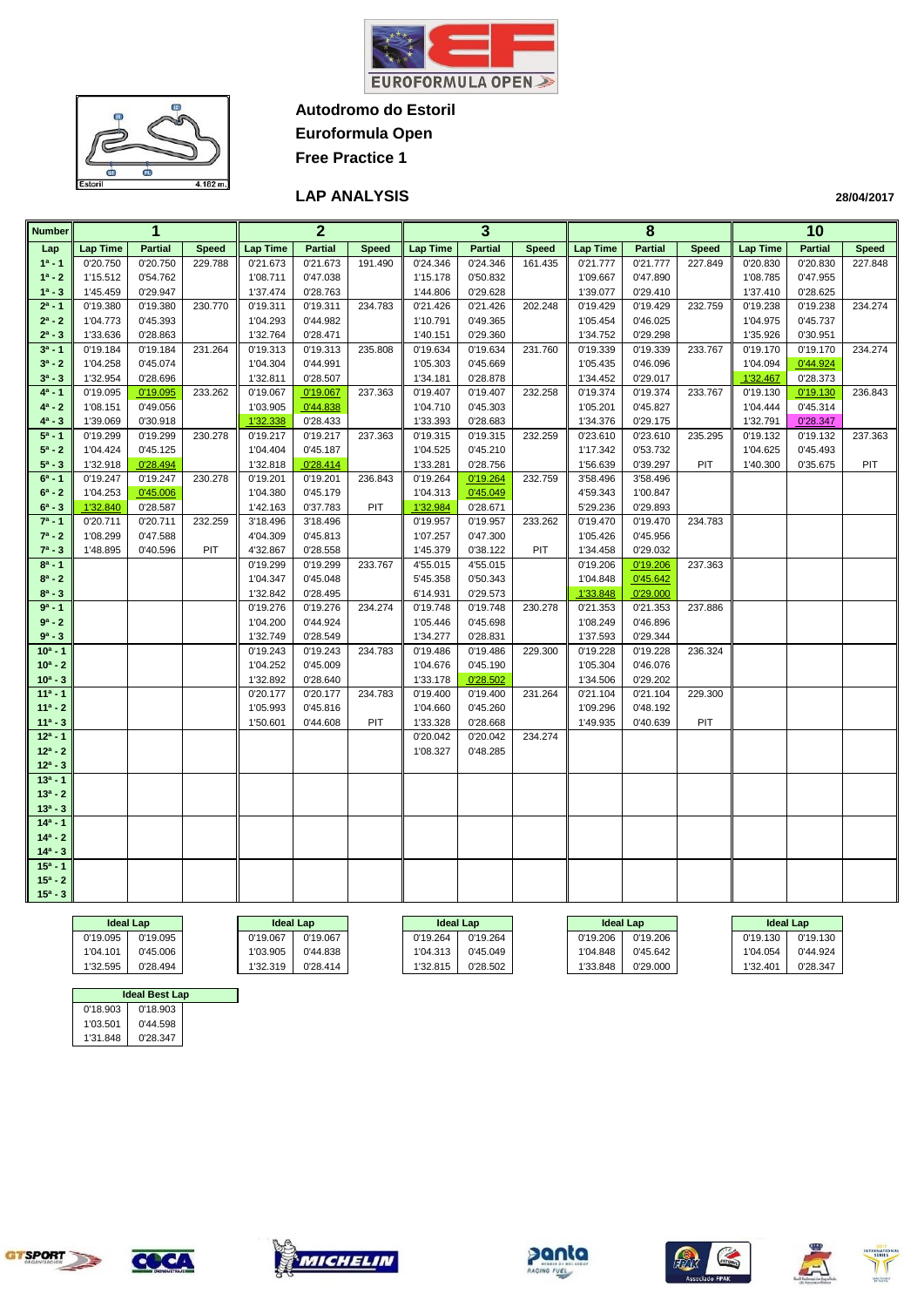

 $\bullet$ 

**Euroformula Open Free Practice 1**

### **LAP ANALYSIS**

| Number                   |          | 1              |              |          | $\mathbf{2}$   |              |                 | 3              |              | 8               |                |              |                 | 10             |              |
|--------------------------|----------|----------------|--------------|----------|----------------|--------------|-----------------|----------------|--------------|-----------------|----------------|--------------|-----------------|----------------|--------------|
| Lap                      | Lap Time | <b>Partial</b> | <b>Speed</b> | Lap Time | <b>Partial</b> | <b>Speed</b> | <b>Lap Time</b> | <b>Partial</b> | <b>Speed</b> | <b>Lap Time</b> | <b>Partial</b> | <b>Speed</b> | <b>Lap Time</b> | <b>Partial</b> | <b>Speed</b> |
| $1a - 1$                 | 0'20.750 | 0'20.750       | 229.788      | 0'21.673 | 0'21.673       | 191.490      | 0'24.346        | 0'24.346       | 161.435      | 0'21.777        | 0'21.777       | 227.849      | 0'20.830        | 0'20.830       | 227.848      |
| $1^a - 2$                | 1'15.512 | 0'54.762       |              | 1'08.711 | 0'47.038       |              | 1'15.178        | 0'50.832       |              | 1'09.667        | 0'47.890       |              | 1'08.785        | 0'47.955       |              |
| $1^a - 3$                | 1'45.459 | 0'29.947       |              | 1'37.474 | 0'28.763       |              | 1'44.806        | 0'29.628       |              | 1'39.077        | 0'29.410       |              | 1'37.410        | 0'28.625       |              |
| $2^a - 1$                | 0'19.380 | 0'19.380       | 230.770      | 0'19.311 | 0'19.311       | 234.783      | 0'21.426        | 0'21.426       | 202.248      | 0'19.429        | 0'19.429       | 232.759      | 0'19.238        | 0'19.238       | 234.274      |
| $2^a - 2$                | 1'04.773 | 0'45.393       |              | 1'04.293 | 0'44.982       |              | 1'10.791        | 0'49.365       |              | 1'05.454        | 0'46.025       |              | 1'04.975        | 0'45.737       |              |
| $2^a - 3$                | 1'33.636 | 0'28.863       |              | 1'32.764 | 0'28.471       |              | 1'40.151        | 0'29.360       |              | 1'34.752        | 0'29.298       |              | 1'35.926        | 0'30.951       |              |
| $3a - 1$                 | 0'19.184 | 0'19.184       | 231.264      | 0'19.313 | 0'19.313       | 235.808      | 0'19.634        | 0'19.634       | 231.760      | 0'19.339        | 0'19.339       | 233.767      | 0'19.170        | 0'19.170       | 234.274      |
| $3^a - 2$                | 1'04.258 | 0'45.074       |              | 1'04.304 | 0'44.991       |              | 1'05.303        | 0'45.669       |              | 1'05.435        | 0'46.096       |              | 1'04.094        | 0'44.924       |              |
| $3^a - 3$                | 1'32.954 | 0'28.696       |              | 1'32.811 | 0'28.507       |              | 1'34.181        | 0'28.878       |              | 1'34.452        | 0'29.017       |              | 1'32.467        | 0'28.373       |              |
| $4^a - 1$                | 0'19.095 | 0'19.095       | 233.262      | 0'19.067 | 0'19.067       | 237.363      | 0'19.407        | 0'19.407       | 232.258      | 0'19.374        | 0'19.374       | 233.767      | 0'19.130        | 0'19.130       | 236.843      |
| $4^a - 2$                | 1'08.151 | 0'49.056       |              | 1'03.905 | 0'44.838       |              | 1'04.710        | 0'45.303       |              | 1'05.201        | 0'45.827       |              | 1'04.444        | 0'45.314       |              |
| $4^a - 3$                | 1'39.069 | 0'30.918       |              | 1'32.338 | 0'28.433       |              | 1'33.393        | 0'28.683       |              | 1'34.376        | 0'29.175       |              | 1'32.791        | 0'28.347       |              |
| $5^a - 1$                | 0'19.299 | 0'19.299       | 230.278      | 0'19.217 | 0'19.217       | 237.363      | 0'19.315        | 0'19.315       | 232.259      | 0'23.610        | 0'23.610       | 235.295      | 0'19.132        | 0'19.132       | 237.363      |
| $5^a - 2$                | 1'04.424 | 0'45.125       |              | 1'04.404 | 0'45.187       |              | 1'04.525        | 0'45.210       |              | 1'17.342        | 0'53.732       |              | 1'04.625        | 0'45.493       |              |
| $5^a - 3$                | 1'32.918 | 0'28.494       |              | 1'32.818 | 0'28.414       |              | 1'33.281        | 0'28.756       |              | 1'56.639        | 0'39.297       | PIT          | 1'40.300        | 0'35.675       | PIT          |
| $6^a - 1$                | 0'19.247 | 0'19.247       | 230.278      | 0'19.201 | 0'19.201       | 236.843      | 0'19.264        | 0'19.264       | 232.759      | 3'58.496        | 3'58.496       |              |                 |                |              |
| $6^a - 2$                | 1'04.253 | 0'45.006       |              | 1'04.380 | 0'45.179       |              | 1'04.313        | 0'45.049       |              | 4'59.343        | 1'00.847       |              |                 |                |              |
| $6^a - 3$                | 1'32.840 | 0'28.587       |              | 1'42.163 | 0'37.783       | PIT          | 1'32.984        | 0'28.671       |              | 5'29.236        | 0'29.893       |              |                 |                |              |
| $7^a - 1$                | 0'20.711 | 0'20.711       | 232.259      | 3'18.496 | 3'18.496       |              | 0'19.957        | 0'19.957       | 233.262      | 0'19.470        | 0'19.470       | 234.783      |                 |                |              |
| $7^a - 2$                | 1'08.299 | 0'47.588       |              | 4'04.309 | 0'45.813       |              | 1'07.257        | 0'47.300       |              | 1'05.426        | 0'45.956       |              |                 |                |              |
| $7^a - 3$                | 1'48.895 | 0'40.596       | PIT          | 4'32.867 | 0'28.558       |              | 1'45.379        | 0'38.122       | PIT          | 1'34.458        | 0'29.032       |              |                 |                |              |
| $8^a - 1$                |          |                |              | 0'19.299 | 0'19.299       | 233.767      | 4'55.015        | 4'55.015       |              | 0'19.206        | 0'19.206       | 237.363      |                 |                |              |
| $8^a - 2$                |          |                |              | 1'04.347 | 0'45.048       |              | 5'45.358        | 0'50.343       |              | 1'04.848        | 0'45.642       |              |                 |                |              |
| $8^a - 3$                |          |                |              | 1'32.842 | 0'28.495       |              | 6'14.931        | 0'29.573       |              | 1'33.848        | 0'29.000       |              |                 |                |              |
| $9a - 1$                 |          |                |              | 0'19.276 | 0'19.276       | 234.274      | 0'19.748        | 0'19.748       | 230.278      | 0'21.353        | 0'21.353       | 237.886      |                 |                |              |
| $9^a - 2$                |          |                |              | 1'04.200 | 0'44.924       |              | 1'05.446        | 0'45.698       |              | 1'08.249        | 0'46.896       |              |                 |                |              |
| $9a - 3$                 |          |                |              | 1'32.749 | 0'28.549       |              | 1'34.277        | 0'28.831       |              | 1'37.593        | 0'29.344       |              |                 |                |              |
| $10a - 1$                |          |                |              | 0'19.243 | 0'19.243       | 234.783      | 0'19.486        | 0'19.486       | 229.300      | 0'19.228        | 0'19.228       | 236.324      |                 |                |              |
| $10^a - 2$               |          |                |              | 1'04.252 | 0'45.009       |              | 1'04.676        | 0'45.190       |              | 1'05.304        | 0'46.076       |              |                 |                |              |
| $10^a - 3$               |          |                |              | 1'32.892 | 0'28.640       |              | 1'33.178        | 0'28.502       |              | 1'34.506        | 0'29.202       |              |                 |                |              |
| $11a - 1$                |          |                |              | 0'20.177 | 0'20.177       | 234.783      | 0'19.400        | 0'19.400       | 231.264      | 0'21.104        | 0'21.104       | 229.300      |                 |                |              |
| $11a - 2$                |          |                |              | 1'05.993 | 0'45.816       |              | 1'04.660        | 0'45.260       |              | 1'09.296        | 0'48.192       |              |                 |                |              |
| $11a - 3$                |          |                |              | 1'50.601 | 0'44.608       | PIT          | 1'33.328        | 0'28.668       |              | 1'49.935        | 0'40.639       | PIT          |                 |                |              |
| $12a - 1$                |          |                |              |          |                |              | 0'20.042        | 0'20.042       | 234.274      |                 |                |              |                 |                |              |
| $12^a - 2$<br>$12^a - 3$ |          |                |              |          |                |              | 1'08.327        | 0'48.285       |              |                 |                |              |                 |                |              |
| $13a - 1$                |          |                |              |          |                |              |                 |                |              |                 |                |              |                 |                |              |
| $13^a - 2$               |          |                |              |          |                |              |                 |                |              |                 |                |              |                 |                |              |
| $13^a - 3$               |          |                |              |          |                |              |                 |                |              |                 |                |              |                 |                |              |
| $14a - 1$                |          |                |              |          |                |              |                 |                |              |                 |                |              |                 |                |              |
| $14a - 2$                |          |                |              |          |                |              |                 |                |              |                 |                |              |                 |                |              |
| $14^a - 3$               |          |                |              |          |                |              |                 |                |              |                 |                |              |                 |                |              |
| $15a - 1$                |          |                |              |          |                |              |                 |                |              |                 |                |              |                 |                |              |
| $15^a - 2$               |          |                |              |          |                |              |                 |                |              |                 |                |              |                 |                |              |
| $15^a - 3$               |          |                |              |          |                |              |                 |                |              |                 |                |              |                 |                |              |
|                          |          |                |              |          |                |              |                 |                |              |                 |                |              |                 |                |              |
|                          |          |                |              |          |                |              |                 |                |              |                 |                |              |                 |                |              |

|          | <b>Ideal Lap</b> | <b>Ideal Lap</b> |          | <b>Ideal Lap</b> |          |          | <b>Ideal Lap</b> | <b>Ideal Lap</b> |          |
|----------|------------------|------------------|----------|------------------|----------|----------|------------------|------------------|----------|
| 0'19.095 | 0'19.095         | 0'19.067         | 0'19.067 | 0'19.264         | 0'19.264 | 0'19.206 | 0'19.206         | 0'19.130         | 0'19.130 |
| 1'04.101 | 0'45.006         | 1'03.905         | 0'44.838 | 1'04.313         | 0'45.049 | 1'04.848 | 0'45.642         | 1'04.054         | 0'44.924 |
| 1'32.595 | 0'28.494         | 1'32.319         | 0'28.414 | 1'32.815         | 0'28.502 | 1'33.848 | 0'29.000         | 1'32.401         | 0'28.347 |

| <b>Ideal Best Lap</b> |          |  |  |  |  |  |  |  |  |  |
|-----------------------|----------|--|--|--|--|--|--|--|--|--|
| 0'18.903              | 0'18.903 |  |  |  |  |  |  |  |  |  |
| 1'03.501              | 0'44.598 |  |  |  |  |  |  |  |  |  |
| 0'28.347<br>1'31.848  |          |  |  |  |  |  |  |  |  |  |

 $\bullet$ 











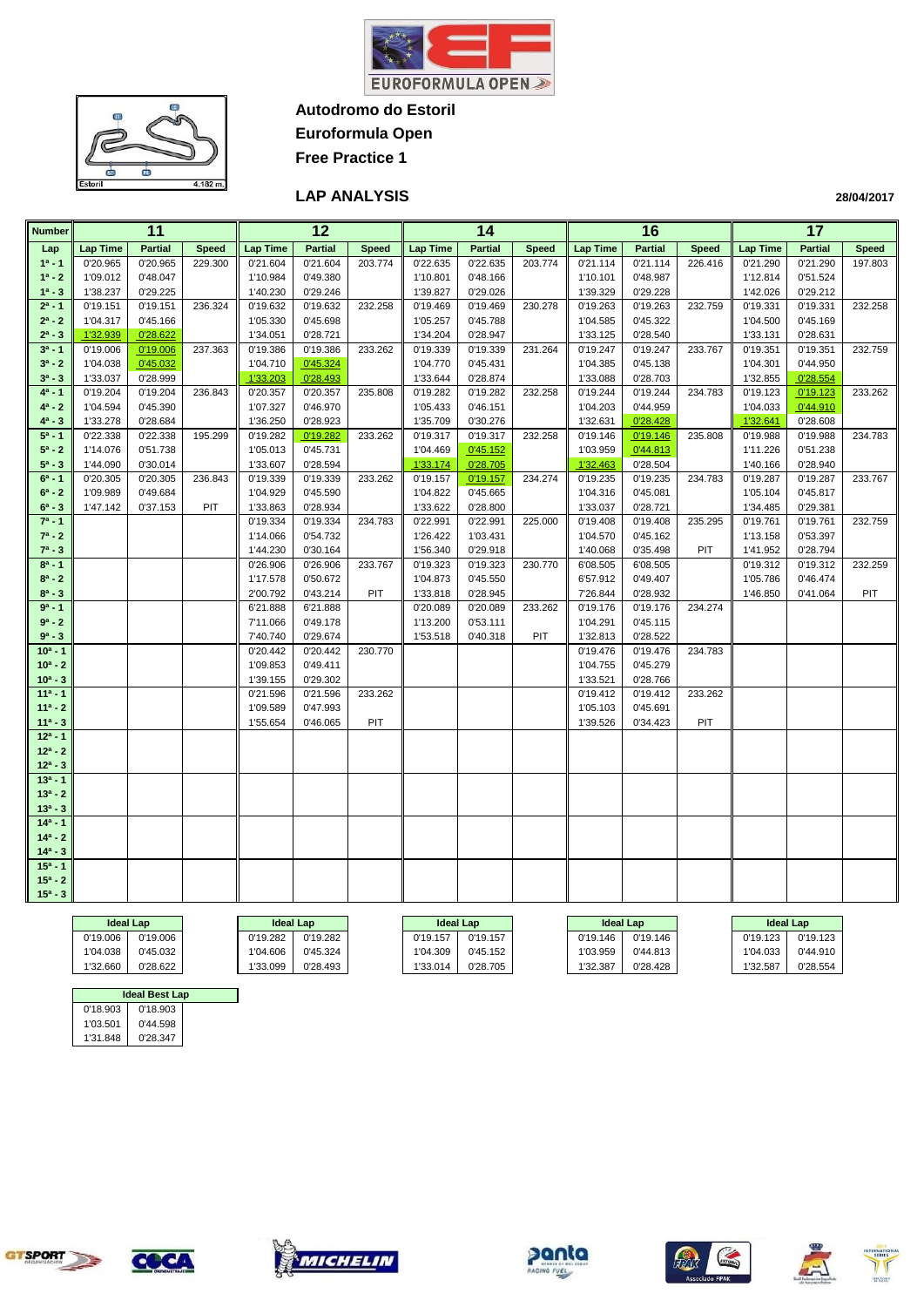



**Euroformula Open Free Practice 1**

### **LAP ANALYSIS**

| <b>Number</b>           |                      | 11                   |              | 12<br>14             |                      | 16           |                      |                      | 17           |                      |                      |              |                      |                      |              |
|-------------------------|----------------------|----------------------|--------------|----------------------|----------------------|--------------|----------------------|----------------------|--------------|----------------------|----------------------|--------------|----------------------|----------------------|--------------|
| Lap                     | <b>Lap Time</b>      | <b>Partial</b>       | <b>Speed</b> | <b>Lap Time</b>      | <b>Partial</b>       | <b>Speed</b> | <b>Lap Time</b>      | <b>Partial</b>       | <b>Speed</b> | <b>Lap Time</b>      | <b>Partial</b>       | <b>Speed</b> | <b>Lap Time</b>      | <b>Partial</b>       | <b>Speed</b> |
| $1a - 1$                | 0'20.965             | 0'20.965             | 229.300      | 0'21.604             | 0'21.604             | 203.774      | 0'22.635             | 0'22.635             | 203.774      | 0'21.114             | 0'21.114             | 226.416      | 0'21.290             | 0'21.290             | 197.803      |
| $1^a - 2$               | 1'09.012             | 0'48.047             |              | 1'10.984             | 0'49.380             |              | 1'10.801             | 0'48.166             |              | 1'10.101             | 0'48.987             |              | 1'12.814             | 0'51.524             |              |
| $1^a - 3$               | 1'38.237             | 0'29.225             |              | 1'40.230             | 0'29.246             |              | 1'39.827             | 0'29.026             |              | 1'39.329             | 0'29.228             |              | 1'42.026             | 0'29.212             |              |
| $2^a - 1$               | 0'19.151             | 0'19.151             | 236.324      | 0'19.632             | 0'19.632             | 232.258      | 0'19.469             | 0'19.469             | 230.278      | 0'19.263             | 0'19.263             | 232.759      | 0'19.331             | 0'19.331             | 232.258      |
| $2^a - 2$               | 1'04.317             | 0'45.166             |              | 1'05.330             | 0'45.698             |              | 1'05.257             | 0'45.788             |              | 1'04.585             | 0'45.322             |              | 1'04.500             | 0'45.169             |              |
| $2^a - 3$               | 1'32.939             | 0'28.622             |              | 1'34.051             | 0'28.721             |              | 1'34.204             | 0'28.947             |              | 1'33.125             | 0'28.540             |              | 1'33.131             | 0'28.631             |              |
| $3^a - 1$               | 0'19.006             | 0'19.006             | 237.363      | 0'19.386             | 0'19.386             | 233.262      | 0'19.339             | 0'19.339             | 231.264      | 0'19.247             | 0'19.247             | 233.767      | 0'19.351             | 0'19.351             | 232.759      |
| $3^a - 2$               | 1'04.038             | 0'45.032             |              | 1'04.710             | 0'45.324             |              | 1'04.770             | 0'45.431             |              | 1'04.385             | 0'45.138             |              | 1'04.301             | 0'44.950             |              |
| $3^a - 3$               | 1'33.037             | 0'28.999             |              | 1'33.203             | 0'28.493             |              | 1'33.644             | 0'28.874             |              | 1'33.088             | 0'28.703             |              | 1'32.855             | 0'28.554             |              |
| $4^a - 1$               | 0'19.204             | 0'19.204             | 236.843      | 0'20.357             | 0'20.357             | 235.808      | 0'19.282             | 0'19.282             | 232.258      | 0'19.244             | 0'19.244             | 234.783      | 0'19.123             | 0'19.123             | 233.262      |
| $4^a - 2$               | 1'04.594             | 0'45.390             |              | 1'07.327             | 0'46.970             |              | 1'05.433             | 0'46.151             |              | 1'04.203             | 0'44.959             |              | 1'04.033             | 0'44.910             |              |
| $4^a - 3$               | 1'33.278             | 0'28.684             |              | 1'36.250             | 0'28.923             |              | 1'35.709             | 0'30.276             |              | 1'32.631             | 0'28.428             |              | 1'32.641             | 0'28.608             |              |
| $5^a - 1$               | 0'22.338             | 0'22.338             | 195.299      | 0'19.282             | 0'19.282             | 233.262      | 0'19.317             | 0'19.317             | 232.258      | 0'19.146             | 0'19.146             | 235.808      | 0'19.988             | 0'19.988             | 234.783      |
| $5^a - 2$               | 1'14.076             | 0'51.738             |              | 1'05.013             | 0'45.731             |              | 1'04.469             | 0'45.152             |              | 1'03.959             | 0'44.813             |              | 1'11.226             | 0'51.238             |              |
| $5^a - 3$               | 1'44.090             | 0'30.014             |              | 1'33.607             | 0'28.594             |              | 1'33.174             | 0'28.705             |              | 1'32.463             | 0'28.504             |              | 1'40.166             | 0'28.940             |              |
| $6^a - 1$<br>$6^a - 2$  | 0'20.305<br>1'09.989 | 0'20.305             | 236.843      | 0'19.339             | 0'19.339             | 233.262      | 0'19.157             | 0'19.157             | 234.274      | 0'19.235             | 0'19.235<br>0'45.081 | 234.783      | 0'19.287             | 0'19.287<br>0'45.817 | 233.767      |
| $6^a - 3$               | 1'47.142             | 0'49.684<br>0'37.153 | PIT          | 1'04.929             | 0'45.590<br>0'28.934 |              | 1'04.822<br>1'33.622 | 0'45.665<br>0'28.800 |              | 1'04.316<br>1'33.037 | 0'28.721             |              | 1'05.104<br>1'34.485 | 0'29.381             |              |
| $7^a - 1$               |                      |                      |              | 1'33.863<br>0'19.334 | 0'19.334             | 234.783      | 0'22.991             | 0'22.991             | 225.000      | 0'19.408             | 0'19.408             | 235.295      | 0'19.761             | 0'19.761             | 232.759      |
| $7^a - 2$               |                      |                      |              | 1'14.066             | 0'54.732             |              | 1'26.422             | 1'03.431             |              | 1'04.570             | 0'45.162             |              | 1'13.158             | 0'53.397             |              |
| $7^a - 3$               |                      |                      |              | 1'44.230             | 0'30.164             |              | 1'56.340             | 0'29.918             |              | 1'40.068             | 0'35.498             | PIT          | 1'41.952             | 0'28.794             |              |
| $8a - 1$                |                      |                      |              | 0'26.906             | 0'26.906             | 233.767      | 0'19.323             | 0'19.323             | 230.770      | 6'08.505             | 6'08.505             |              | 0'19.312             | 0'19.312             | 232.259      |
| $8^a - 2$               |                      |                      |              | 1'17.578             | 0'50.672             |              | 1'04.873             | 0'45.550             |              | 6'57.912             | 0'49.407             |              | 1'05.786             | 0'46.474             |              |
| $8^a - 3$               |                      |                      |              | 2'00.792             | 0'43.214             | PIT          | 1'33.818             | 0'28.945             |              | 7'26.844             | 0'28.932             |              | 1'46.850             | 0'41.064             | PIT          |
| $9a - 1$                |                      |                      |              | 6'21.888             | 6'21.888             |              | 0'20.089             | 0'20.089             | 233.262      | 0'19.176             | 0'19.176             | 234.274      |                      |                      |              |
| $9a - 2$                |                      |                      |              | 7'11.066             | 0'49.178             |              | 1'13.200             | 0'53.111             |              | 1'04.291             | 0'45.115             |              |                      |                      |              |
| $9^a - 3$               |                      |                      |              | 7'40.740             | 0'29.674             |              | 1'53.518             | 0'40.318             | PIT          | 1'32.813             | 0'28.522             |              |                      |                      |              |
| $10a - 1$               |                      |                      |              | 0'20.442             | 0'20.442             | 230.770      |                      |                      |              | 0'19.476             | 0'19.476             | 234.783      |                      |                      |              |
| $10^a - 2$              |                      |                      |              | 1'09.853             | 0'49.411             |              |                      |                      |              | 1'04.755             | 0'45.279             |              |                      |                      |              |
| $10^a - 3$              |                      |                      |              | 1'39.155             | 0'29.302             |              |                      |                      |              | 1'33.521             | 0'28.766             |              |                      |                      |              |
| $11a - 1$               |                      |                      |              | 0'21.596             | 0'21.596             | 233.262      |                      |                      |              | 0'19.412             | 0'19.412             | 233.262      |                      |                      |              |
| $11a - 2$               |                      |                      |              | 1'09.589             | 0'47.993             |              |                      |                      |              | 1'05.103             | 0'45.691             |              |                      |                      |              |
| $11a - 3$               |                      |                      |              | 1'55.654             | 0'46.065             | PIT          |                      |                      |              | 1'39.526             | 0'34.423             | PIT          |                      |                      |              |
| $12a - 1$               |                      |                      |              |                      |                      |              |                      |                      |              |                      |                      |              |                      |                      |              |
| $12^a - 2$              |                      |                      |              |                      |                      |              |                      |                      |              |                      |                      |              |                      |                      |              |
| $12^a - 3$              |                      |                      |              |                      |                      |              |                      |                      |              |                      |                      |              |                      |                      |              |
| $13a - 1$               |                      |                      |              |                      |                      |              |                      |                      |              |                      |                      |              |                      |                      |              |
| $13a - 2$               |                      |                      |              |                      |                      |              |                      |                      |              |                      |                      |              |                      |                      |              |
| $13^a - 3$              |                      |                      |              |                      |                      |              |                      |                      |              |                      |                      |              |                      |                      |              |
| $14a - 1$               |                      |                      |              |                      |                      |              |                      |                      |              |                      |                      |              |                      |                      |              |
| $14a - 2$<br>$14^a - 3$ |                      |                      |              |                      |                      |              |                      |                      |              |                      |                      |              |                      |                      |              |
| $15a - 1$               |                      |                      |              |                      |                      |              |                      |                      |              |                      |                      |              |                      |                      |              |
| $15^a - 2$              |                      |                      |              |                      |                      |              |                      |                      |              |                      |                      |              |                      |                      |              |
| $15^a - 3$              |                      |                      |              |                      |                      |              |                      |                      |              |                      |                      |              |                      |                      |              |
|                         |                      |                      |              |                      |                      |              |                      |                      |              |                      |                      |              |                      |                      |              |
|                         | <b>Talentin</b>      |                      |              |                      |                      |              |                      |                      |              |                      |                      |              |                      |                      |              |

| <b>Ideal Lap</b> |          | <b>Ideal Lap</b> |          | <b>Ideal Lap</b> |          |          | <b>Ideal Lap</b> | <b>Ideal Lap</b> |          |
|------------------|----------|------------------|----------|------------------|----------|----------|------------------|------------------|----------|
| 0'19.006         | 0'19.006 | 0'19.282         | 0'19.282 | 0'19.157         | 0'19.157 | 0'19.146 | 0'19.146         | 0'19.123         | 0'19.123 |
| 1'04.038         | 0'45.032 | 1'04.606         | 0'45.324 | 1'04.309         | 0'45.152 | 1'03.959 | 0'44.813         | 1'04.033         | 0'44.910 |
| 1'32.660         | 0'28.622 | 1'33.099         | 0'28.493 | 1'33.014         | 0'28.705 | 1'32.387 | 0'28.428         | 1'32.587         | 0'28.554 |

| <b>Ideal Best Lap</b> |          |  |  |  |  |  |  |  |  |  |
|-----------------------|----------|--|--|--|--|--|--|--|--|--|
| 0'18.903              | 0'18.903 |  |  |  |  |  |  |  |  |  |
| 1'03.501              | 0'44.598 |  |  |  |  |  |  |  |  |  |
| 0'28.347<br>1'31.848  |          |  |  |  |  |  |  |  |  |  |











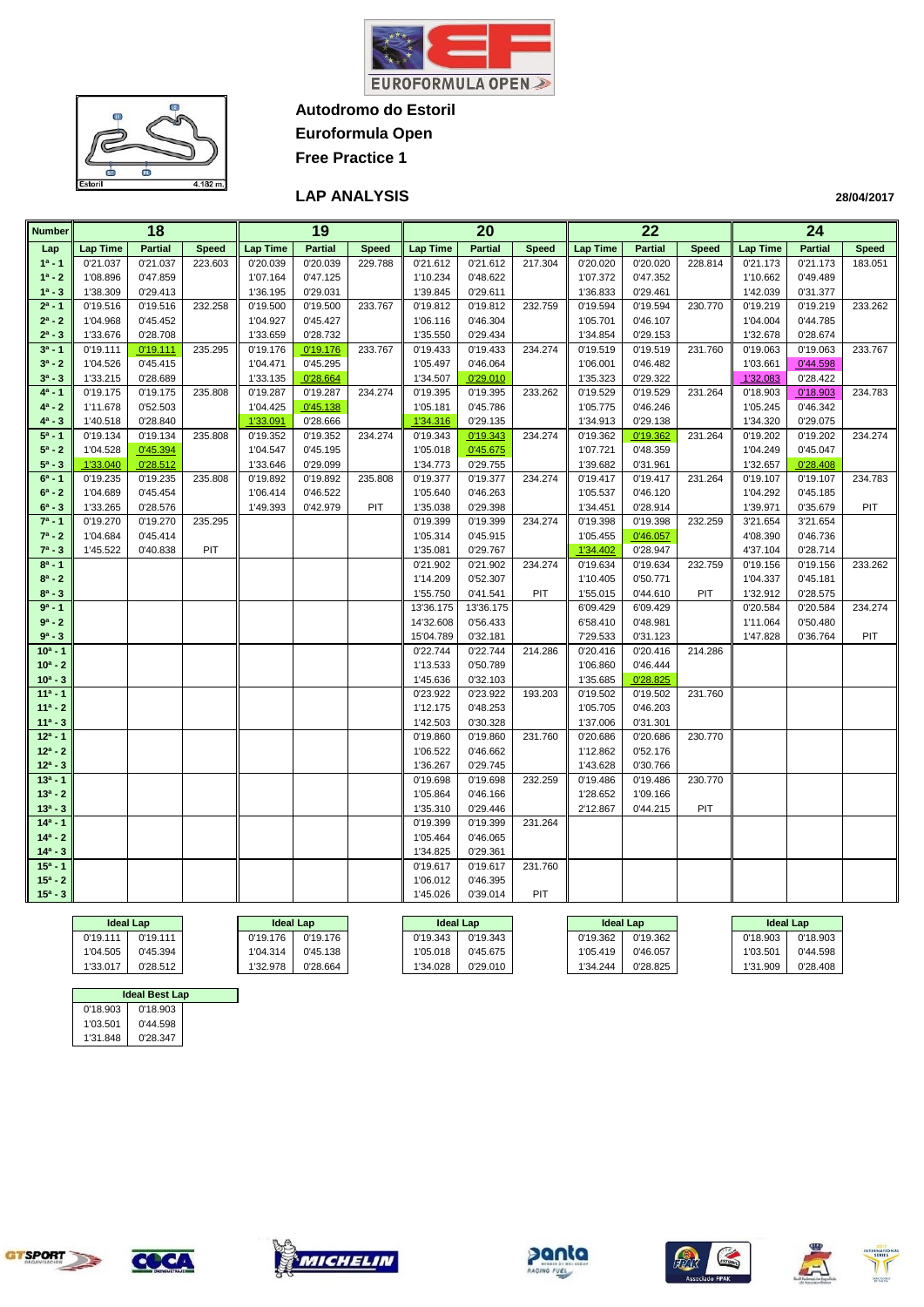



**Euroformula Open Free Practice 1**

#### **LAP ANALYSIS**

| <b>Number</b> |                  | 18             |              |                  | 19<br>20<br>22<br>24 |              |                  |                |              |                  |                |              |          |                  |              |
|---------------|------------------|----------------|--------------|------------------|----------------------|--------------|------------------|----------------|--------------|------------------|----------------|--------------|----------|------------------|--------------|
| Lap           | <b>Lap Time</b>  | <b>Partial</b> | <b>Speed</b> | <b>Lap Time</b>  | <b>Partial</b>       | <b>Speed</b> | <b>Lap Time</b>  | <b>Partial</b> | <b>Speed</b> | <b>Lap Time</b>  | <b>Partial</b> | <b>Speed</b> | Lap Time | <b>Partial</b>   | <b>Speed</b> |
| $1^a - 1$     | 0'21.037         | 0'21.037       | 223.603      | 0'20.039         | 0'20.039             | 229.788      | 0'21.612         | 0'21.612       | 217.304      | 0'20.020         | 0'20.020       | 228.814      | 0'21.173 | 0'21.173         | 183.051      |
| $1^a - 2$     | 1'08.896         | 0'47.859       |              | 1'07.164         | 0'47.125             |              | 1'10.234         | 0'48.622       |              | 1'07.372         | 0'47.352       |              | 1'10.662 | 0'49.489         |              |
| $1^a - 3$     | 1'38.309         | 0'29.413       |              | 1'36.195         | 0'29.031             |              | 1'39.845         | 0'29.611       |              | 1'36.833         | 0'29.461       |              | 1'42.039 | 0'31.377         |              |
| $2^a - 1$     | 0'19.516         | 0'19.516       | 232.258      | 0'19.500         | 0'19.500             | 233.767      | 0'19.812         | 0'19.812       | 232.759      | 0'19.594         | 0'19.594       | 230.770      | 0'19.219 | 0'19.219         | 233.262      |
| $2^a - 2$     | 1'04.968         | 0'45.452       |              | 1'04.927         | 0'45.427             |              | 1'06.116         | 0'46.304       |              | 1'05.701         | 0'46.107       |              | 1'04.004 | 0'44.785         |              |
| $2^a - 3$     | 1'33.676         | 0'28.708       |              | 1'33.659         | 0'28.732             |              | 1'35.550         | 0'29.434       |              | 1'34.854         | 0'29.153       |              | 1'32.678 | 0'28.674         |              |
| $3^a - 1$     | 0'19.111         | 0'19.111       | 235.295      | 0'19.176         | 0'19.176             | 233.767      | 0'19.433         | 0'19.433       | 234.274      | 0'19.519         | 0'19.519       | 231.760      | 0'19.063 | 0'19.063         | 233.767      |
| $3^a - 2$     | 1'04.526         | 0'45.415       |              | 1'04.471         | 0'45.295             |              | 1'05.497         | 0'46.064       |              | 1'06.001         | 0'46.482       |              | 1'03.661 | 0'44.598         |              |
| $3^a - 3$     | 1'33.215         | 0'28.689       |              | 1'33.135         | 0'28.664             |              | 1'34.507         | 0'29.010       |              | 1'35.323         | 0'29.322       |              | 1'32.083 | 0'28.422         |              |
| $4^a - 1$     | 0'19.175         | 0'19.175       | 235.808      | 0'19.287         | 0'19.287             | 234.274      | 0'19.395         | 0'19.395       | 233.262      | 0'19.529         | 0'19.529       | 231.264      | 0'18.903 | 0'18.903         | 234.783      |
| $4^a - 2$     | 1'11.678         | 0'52.503       |              | 1'04.425         | 0'45.138             |              | 1'05.181         | 0'45.786       |              | 1'05.775         | 0'46.246       |              | 1'05.245 | 0'46.342         |              |
| $4^a - 3$     | 1'40.518         | 0'28.840       |              | 1'33.091         | 0'28.666             |              | 1'34.316         | 0'29.135       |              | 1'34.913         | 0'29.138       |              | 1'34.320 | 0'29.075         |              |
| $5^a - 1$     | 0'19.134         | 0'19.134       | 235.808      | 0'19.352         | 0'19.352             | 234.274      | 0'19.343         | 0'19.343       | 234.274      | 0'19.362         | 0'19.362       | 231.264      | 0'19.202 | 0'19.202         | 234.274      |
| $5^a - 2$     | 1'04.528         | 0'45.394       |              | 1'04.547         | 0'45.195             |              | 1'05.018         | 0'45.675       |              | 1'07.721         | 0'48.359       |              | 1'04.249 | 0'45.047         |              |
| $5^a - 3$     | 1'33.040         | 0'28.512       |              | 1'33.646         | 0'29.099             |              | 1'34.773         | 0'29.755       |              | 1'39.682         | 0'31.961       |              | 1'32.657 | 0'28.408         |              |
| $6^a - 1$     | 0'19.235         | 0'19.235       | 235.808      | 0'19.892         | 0'19.892             | 235.808      | 0'19.377         | 0'19.377       | 234.274      | 0'19.417         | 0'19.417       | 231.264      | 0'19.107 | 0'19.107         | 234.783      |
| $6^a - 2$     | 1'04.689         | 0'45.454       |              | 1'06.414         | 0'46.522             |              | 1'05.640         | 0'46.263       |              | 1'05.537         | 0'46.120       |              | 1'04.292 | 0'45.185         |              |
| $6^a - 3$     | 1'33.265         | 0'28.576       |              | 1'49.393         | 0'42.979             | PIT          | 1'35.038         | 0'29.398       |              | 1'34.451         | 0'28.914       |              | 1'39.971 | 0'35.679         | <b>PIT</b>   |
| $7^a - 1$     | 0'19.270         | 0'19.270       | 235.295      |                  |                      |              | 0'19.399         | 0'19.399       | 234.274      | 0'19.398         | 0'19.398       | 232.259      | 3'21.654 | 3'21.654         |              |
| $7^a - 2$     | 1'04.684         | 0'45.414       |              |                  |                      |              | 1'05.314         | 0'45.915       |              | 1'05.455         | 0'46.057       |              | 4'08.390 | 0'46.736         |              |
| $7^a - 3$     | 1'45.522         | 0'40.838       | PIT          |                  |                      |              | 1'35.081         | 0'29.767       |              | 1'34.402         | 0'28.947       |              | 4'37.104 | 0'28.714         |              |
| $8^a - 1$     |                  |                |              |                  |                      |              | 0'21.902         | 0'21.902       | 234.274      | 0'19.634         | 0'19.634       | 232.759      | 0'19.156 | 0'19.156         | 233.262      |
| $8^a - 2$     |                  |                |              |                  |                      |              | 1'14.209         | 0'52.307       |              | 1'10.405         | 0'50.771       |              | 1'04.337 | 0'45.181         |              |
| $8^a - 3$     |                  |                |              |                  |                      |              | 1'55.750         | 0'41.541       | PIT          | 1'55.015         | 0'44.610       | PIT          | 1'32.912 | 0'28.575         |              |
| $9a - 1$      |                  |                |              |                  |                      |              | 13'36.175        | 13'36.175      |              | 6'09.429         | 6'09.429       |              | 0'20.584 | 0'20.584         | 234.274      |
| $9^a - 2$     |                  |                |              |                  |                      |              | 14'32.608        | 0'56.433       |              | 6'58.410         | 0'48.981       |              | 1'11.064 | 0'50.480         |              |
| $9^a - 3$     |                  |                |              |                  |                      |              | 15'04.789        | 0'32.181       |              | 7'29.533         | 0'31.123       |              | 1'47.828 | 0'36.764         | PIT          |
| $10a - 1$     |                  |                |              |                  |                      |              | 0'22.744         | 0'22.744       | 214.286      | 0'20.416         | 0'20.416       | 214.286      |          |                  |              |
| $10^a - 2$    |                  |                |              |                  |                      |              | 1'13.533         | 0'50.789       |              | 1'06.860         | 0'46.444       |              |          |                  |              |
| $10^a - 3$    |                  |                |              |                  |                      |              | 1'45.636         | 0'32.103       |              | 1'35.685         | 0'28.825       |              |          |                  |              |
| $11a - 1$     |                  |                |              |                  |                      |              | 0'23.922         | 0'23.922       | 193.203      | 0'19.502         | 0'19.502       | 231.760      |          |                  |              |
| $11a - 2$     |                  |                |              |                  |                      |              | 1'12.175         | 0'48.253       |              | 1'05.705         | 0'46.203       |              |          |                  |              |
| $11a - 3$     |                  |                |              |                  |                      |              | 1'42.503         | 0'30.328       |              | 1'37.006         | 0'31.301       |              |          |                  |              |
| $12^a - 1$    |                  |                |              |                  |                      |              | 0'19.860         | 0'19.860       | 231.760      | 0'20.686         | 0'20.686       | 230.770      |          |                  |              |
| $12^a - 2$    |                  |                |              |                  |                      |              | 1'06.522         | 0'46.662       |              | 1'12.862         | 0'52.176       |              |          |                  |              |
| $12^a - 3$    |                  |                |              |                  |                      |              | 1'36.267         | 0'29.745       |              | 1'43.628         | 0'30.766       |              |          |                  |              |
| $13a - 1$     |                  |                |              |                  |                      |              | 0'19.698         | 0'19.698       | 232.259      | 0'19.486         | 0'19.486       | 230.770      |          |                  |              |
| $13^a - 2$    |                  |                |              |                  |                      |              | 1'05.864         | 0'46.166       |              | 1'28.652         | 1'09.166       |              |          |                  |              |
| $13^a - 3$    |                  |                |              |                  |                      |              | 1'35.310         | 0'29.446       |              | 2'12.867         | 0'44.215       | <b>PIT</b>   |          |                  |              |
| $14a - 1$     |                  |                |              |                  |                      |              | 0'19.399         | 0'19.399       | 231.264      |                  |                |              |          |                  |              |
| $14a - 2$     |                  |                |              |                  |                      |              | 1'05.464         | 0'46.065       |              |                  |                |              |          |                  |              |
| $14^a - 3$    |                  |                |              |                  |                      |              | 1'34.825         | 0'29.361       |              |                  |                |              |          |                  |              |
| $15a - 1$     |                  |                |              |                  |                      |              | 0'19.617         | 0'19.617       | 231.760      |                  |                |              |          |                  |              |
| $15^a - 2$    |                  |                |              |                  |                      |              | 1'06.012         | 0'46.395       |              |                  |                |              |          |                  |              |
| $15^a - 3$    |                  |                |              |                  |                      |              | 1'45.026         | 0'39.014       | PIT          |                  |                |              |          |                  |              |
|               | <b>Ideal Lap</b> |                |              | <b>Ideal Lap</b> |                      |              | <b>Ideal Lap</b> |                |              | <b>Ideal Lap</b> |                |              |          | <b>Ideal Lap</b> |              |
|               |                  |                |              |                  |                      |              |                  |                |              |                  |                |              |          |                  |              |

| <b>Ideal Lap</b>     |          | Ideal Lap | Ideal Lap |          | <b>Ideal Lap</b> |          | <b>Ideal Lap</b> |          |
|----------------------|----------|-----------|-----------|----------|------------------|----------|------------------|----------|
| 0'19.111<br>0'19.111 | 0'19.176 | 0'19.176  | 0'19.343  | 0'19.343 | 0'19.362         | 0'19.362 | 0'18.903         | 0'18.903 |
| 1'04.505<br>0'45.394 | 1'04.314 | 0'45.138  | 1'05.018  | 0'45.675 | 1'05.419         | 0'46.057 | 1'03.50'         | 0'44.598 |
| 1'33.017<br>0'28.512 | 1'32.978 | 0'28.664  | 1'34.028  | 0'29.010 | 1'34.244         | 0'28.825 | 1'31.909         | 0'28.408 |

| <b>Ideal Best Lap</b> |          |  |  |  |  |  |  |  |  |  |
|-----------------------|----------|--|--|--|--|--|--|--|--|--|
| 0'18.903              | 0'18.903 |  |  |  |  |  |  |  |  |  |
| 1'03.501              | 0'44.598 |  |  |  |  |  |  |  |  |  |
| 1'31.848<br>0'28.347  |          |  |  |  |  |  |  |  |  |  |









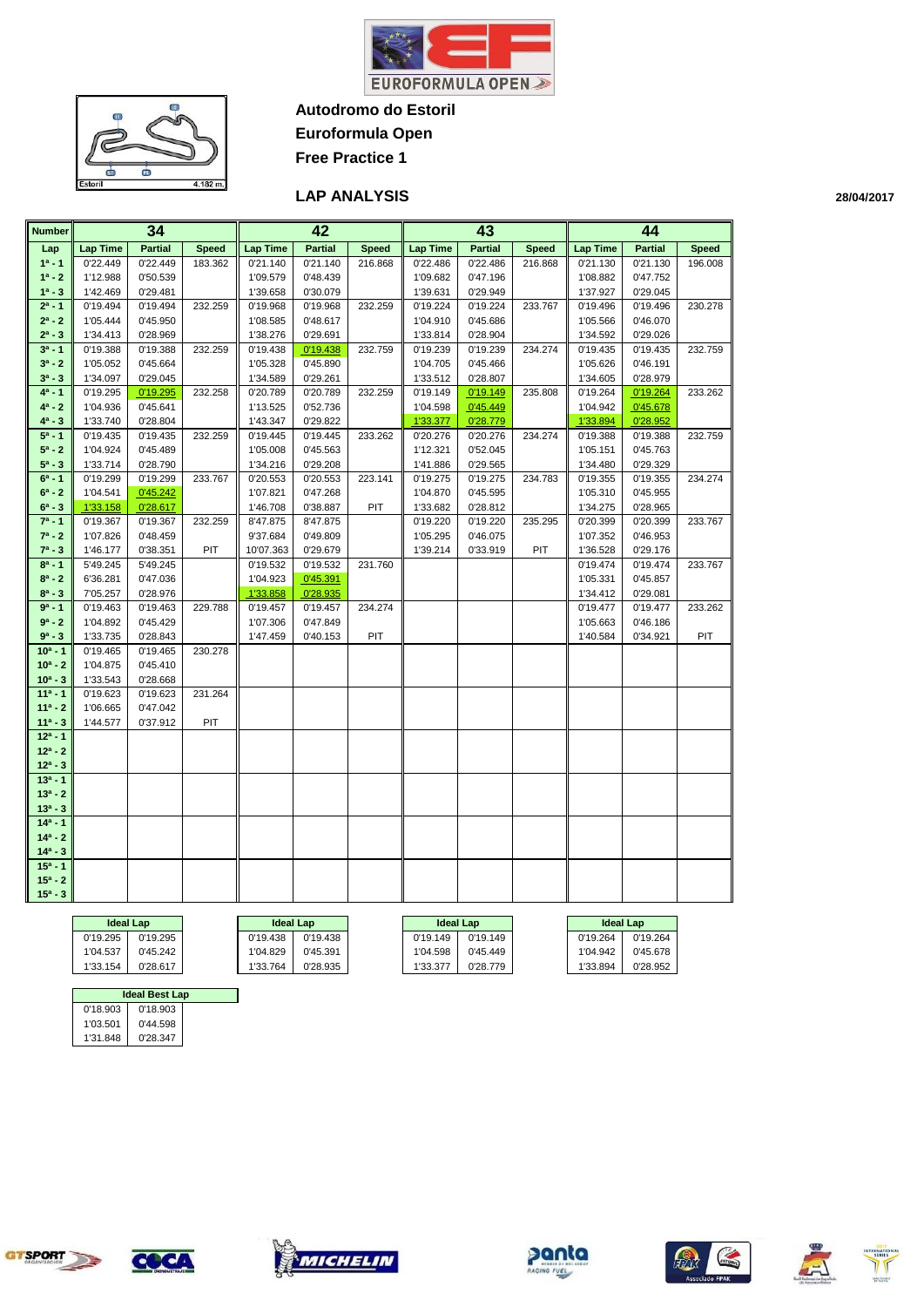



**Euroformula Open**

**Free Practice 1**

#### **LAP ANALYSIS**

| <b>Number</b> | 34<br>42         |                |              |                  | 43             |              | 44               |                |              |                  |                |              |
|---------------|------------------|----------------|--------------|------------------|----------------|--------------|------------------|----------------|--------------|------------------|----------------|--------------|
| Lap           | <b>Lap Time</b>  | <b>Partial</b> | <b>Speed</b> | <b>Lap Time</b>  | <b>Partial</b> | <b>Speed</b> | <b>Lap Time</b>  | <b>Partial</b> | <b>Speed</b> | <b>Lap Time</b>  | <b>Partial</b> | <b>Speed</b> |
| $1a - 1$      | 0'22.449         | 0'22.449       | 183.362      | 0'21.140         | 0'21.140       | 216.868      | 0'22.486         | 0'22.486       | 216.868      | 0'21.130         | 0'21.130       | 196.008      |
| $1^a - 2$     | 1'12.988         | 0'50.539       |              | 1'09.579         | 0'48.439       |              | 1'09.682         | 0'47.196       |              | 1'08.882         | 0'47.752       |              |
| $1^a - 3$     | 1'42.469         | 0'29.481       |              | 1'39.658         | 0'30.079       |              | 1'39.631         | 0'29.949       |              | 1'37.927         | 0'29.045       |              |
| $2^a - 1$     | 0'19.494         | 0'19.494       | 232.259      | 0'19.968         | 0'19.968       | 232.259      | 0'19.224         | 0'19.224       | 233.767      | 0'19.496         | 0'19.496       | 230.278      |
| $2^a - 2$     | 1'05.444         | 0'45.950       |              | 1'08.585         | 0'48.617       |              | 1'04.910         | 0'45.686       |              | 1'05.566         | 0'46.070       |              |
| $2^a - 3$     | 1'34.413         | 0'28.969       |              | 1'38.276         | 0'29.691       |              | 1'33.814         | 0'28.904       |              | 1'34.592         | 0'29.026       |              |
| $3^a - 1$     | 0'19.388         | 0'19.388       | 232.259      | 0'19.438         | 0'19.438       | 232.759      | 0'19.239         | 0'19.239       | 234.274      | 0'19.435         | 0'19.435       | 232.759      |
| $3^a - 2$     | 1'05.052         | 0'45.664       |              | 1'05.328         | 0'45.890       |              | 1'04.705         | 0'45.466       |              | 1'05.626         | 0'46.191       |              |
| $3^{a} - 3$   | 1'34.097         | 0'29.045       |              | 1'34.589         | 0'29.261       |              | 1'33.512         | 0'28.807       |              | 1'34.605         | 0'28.979       |              |
| $4^a - 1$     | 0'19.295         | 0'19.295       | 232.258      | 0'20.789         | 0'20.789       | 232.259      | 0'19.149         | 0'19.149       | 235.808      | 0'19.264         | 0'19.264       | 233.262      |
| $4^a - 2$     | 1'04.936         | 0'45.641       |              | 1'13.525         | 0'52.736       |              | 1'04.598         | 0'45.449       |              | 1'04.942         | 0'45.678       |              |
| $4^a - 3$     | 1'33.740         | 0'28.804       |              | 1'43.347         | 0'29.822       |              | 1'33.377         | 0'28.779       |              | 1'33.894         | 0'28.952       |              |
| $5^a - 1$     | 0'19.435         | 0'19.435       | 232.259      | 0'19.445         | 0'19.445       | 233.262      | 0'20.276         | 0'20.276       | 234.274      | 0'19.388         | 0'19.388       | 232.759      |
| $5^a - 2$     | 1'04.924         | 0'45.489       |              | 1'05.008         | 0'45.563       |              | 1'12.321         | 0'52.045       |              | 1'05.151         | 0'45.763       |              |
| $5^a - 3$     | 1'33.714         | 0'28.790       |              | 1'34.216         | 0'29.208       |              | 1'41.886         | 0'29.565       |              | 1'34.480         | 0'29.329       |              |
| $6^a - 1$     | 0'19.299         | 0'19.299       | 233.767      | 0'20.553         | 0'20.553       | 223.141      | 0'19.275         | 0'19.275       | 234.783      | 0'19.355         | 0'19.355       | 234.274      |
| $6^a - 2$     | 1'04.541         | 0'45.242       |              | 1'07.821         | 0'47.268       |              | 1'04.870         | 0'45.595       |              | 1'05.310         | 0'45.955       |              |
| $6^a - 3$     | 1'33.158         | 0'28.617       |              | 1'46.708         | 0'38.887       | PIT          | 1'33.682         | 0'28.812       |              | 1'34.275         | 0'28.965       |              |
| $7^a - 1$     | 0'19.367         | 0'19.367       | 232.259      | 8'47.875         | 8'47.875       |              | 0'19.220         | 0'19.220       | 235.295      | 0'20.399         | 0'20.399       | 233.767      |
| $7^a - 2$     | 1'07.826         | 0'48.459       |              | 9'37.684         | 0'49.809       |              | 1'05.295         | 0'46.075       |              | 1'07.352         | 0'46.953       |              |
| $7^a - 3$     | 1'46.177         | 0'38.351       | PIT          | 10'07.363        | 0'29.679       |              | 1'39.214         | 0'33.919       | PIT          | 1'36.528         | 0'29.176       |              |
| $8^a - 1$     | 5'49.245         | 5'49.245       |              | 0'19.532         | 0'19.532       | 231.760      |                  |                |              | 0'19.474         | 0'19.474       | 233.767      |
| $8^a - 2$     | 6'36.281         | 0'47.036       |              | 1'04.923         | 0'45.391       |              |                  |                |              | 1'05.331         | 0'45.857       |              |
| $8^a - 3$     | 7'05.257         | 0'28.976       |              | 1'33.858         | 0'28.935       |              |                  |                |              | 1'34.412         | 0'29.081       |              |
| $9a - 1$      | 0'19.463         | 0'19.463       | 229.788      | 0'19.457         | 0'19.457       | 234.274      |                  |                |              | 0'19.477         | 0'19.477       | 233.262      |
| $9a - 2$      | 1'04.892         | 0'45.429       |              | 1'07.306         | 0'47.849       |              |                  |                |              | 1'05.663         | 0'46.186       |              |
| $9^a - 3$     | 1'33.735         | 0'28.843       |              | 1'47.459         | 0'40.153       | PIT          |                  |                |              | 1'40.584         | 0'34.921       | PIT          |
| $10a - 1$     | 0'19.465         | 0'19.465       | 230.278      |                  |                |              |                  |                |              |                  |                |              |
| $10^a - 2$    | 1'04.875         | 0'45.410       |              |                  |                |              |                  |                |              |                  |                |              |
| $10^a - 3$    | 1'33.543         | 0'28.668       |              |                  |                |              |                  |                |              |                  |                |              |
| $11a - 1$     | 0'19.623         | 0'19.623       | 231.264      |                  |                |              |                  |                |              |                  |                |              |
| $11a - 2$     | 1'06.665         | 0'47.042       |              |                  |                |              |                  |                |              |                  |                |              |
| $11a - 3$     | 1'44.577         | 0'37.912       | PIT          |                  |                |              |                  |                |              |                  |                |              |
| $12a - 1$     |                  |                |              |                  |                |              |                  |                |              |                  |                |              |
| $12a - 2$     |                  |                |              |                  |                |              |                  |                |              |                  |                |              |
| $12^a - 3$    |                  |                |              |                  |                |              |                  |                |              |                  |                |              |
| $13a - 1$     |                  |                |              |                  |                |              |                  |                |              |                  |                |              |
| $13a - 2$     |                  |                |              |                  |                |              |                  |                |              |                  |                |              |
| $13^a - 3$    |                  |                |              |                  |                |              |                  |                |              |                  |                |              |
| $14a - 1$     |                  |                |              |                  |                |              |                  |                |              |                  |                |              |
| $14a - 2$     |                  |                |              |                  |                |              |                  |                |              |                  |                |              |
| $14^a - 3$    |                  |                |              |                  |                |              |                  |                |              |                  |                |              |
| $15a - 1$     |                  |                |              |                  |                |              |                  |                |              |                  |                |              |
| $15a - 2$     |                  |                |              |                  |                |              |                  |                |              |                  |                |              |
| $15^a - 3$    |                  |                |              |                  |                |              |                  |                |              |                  |                |              |
|               |                  |                |              |                  |                |              |                  |                |              |                  |                |              |
|               | <b>Ideal Lap</b> |                |              | <b>Ideal Lap</b> |                |              | <b>Ideal Lap</b> |                |              | <b>Ideal Lap</b> |                |              |
|               | 0'19.295         | 0'19.295       |              | 0'19.438         | 0'19.438       |              | 0'19.149         | 0'19.149       |              | 0'19.264         | 0'19.264       |              |
|               | 1'04.537         | 0'45.242       |              | 1'04.829         | 0'45.391       |              | 1'04.598         | 0'45.449       |              | 1'04.942         | 0'45.678       |              |

1'33.154 | 0'28.617 | 1'33.764 | 0'28.935 | 1'33.377 | 0'28.779 | 1'33.894 | 0'28.952

| <b>Ideal Best Lap</b> |  |  |  |  |  |  |  |  |  |  |
|-----------------------|--|--|--|--|--|--|--|--|--|--|
| 0'18.903              |  |  |  |  |  |  |  |  |  |  |
| 0'44.598              |  |  |  |  |  |  |  |  |  |  |
| 0'28.347              |  |  |  |  |  |  |  |  |  |  |
|                       |  |  |  |  |  |  |  |  |  |  |









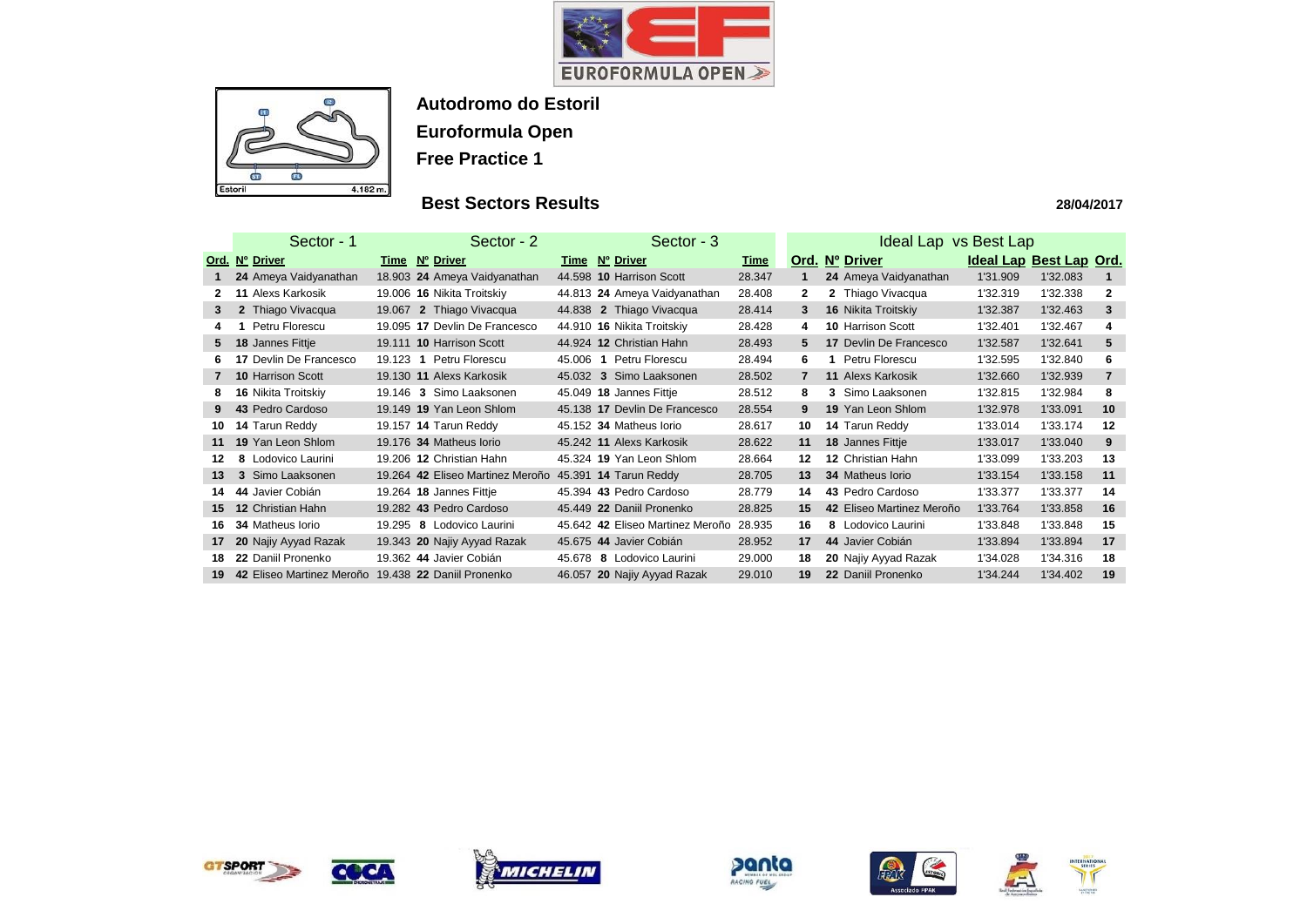



## **Best Sectors Results**

|              | Sector - 1                    | Sector - 3<br>Sector - 2                            |                                  |             |                | Ideal Lap vs Best Lap     |                         |          |                |  |  |  |
|--------------|-------------------------------|-----------------------------------------------------|----------------------------------|-------------|----------------|---------------------------|-------------------------|----------|----------------|--|--|--|
|              | Ord. Nº Driver                | Time Nº Driver                                      | Time Nº Driver                   | <u>Time</u> |                | Ord. Nº Driver            | Ideal Lap Best Lap Ord. |          |                |  |  |  |
|              | 24 Ameya Vaidyanathan         | 18.903 24 Ameya Vaidyanathan                        | 44.598 10 Harrison Scott         | 28.347      |                | 24 Ameya Vaidyanathan     | 1'31.909                | 1'32.083 |                |  |  |  |
| 2.           | <b>11 Alexs Karkosik</b>      | 19.006 16 Nikita Troitskiy                          | 44.813 24 Ameya Vaidyanathan     | 28.408      | $\mathbf{2}$   | 2 Thiago Vivacqua         | 1'32.319                | 1'32.338 | $\mathbf{2}$   |  |  |  |
| 3            | 2 Thiago Vivacqua             | 19.067 2 Thiago Vivacqua                            | 44.838 2 Thiago Vivacqua         | 28.414      | 3              | 16 Nikita Troitskiy       | 1'32.387                | 1'32.463 | 3              |  |  |  |
| 4            | Petru Florescu                | 19.095 17 Devlin De Francesco                       | 44.910 16 Nikita Troitskiy       | 28.428      | 4              | <b>10 Harrison Scott</b>  | 1'32.401                | 1'32.467 | 4              |  |  |  |
| 5            | 18 Jannes Fittje              | 19.111 10 Harrison Scott                            | 44.924 12 Christian Hahn         | 28.493      | 5.             | 17 Devlin De Francesco    | 1'32.587                | 1'32.641 | 5              |  |  |  |
| 6.           | <b>17 Devlin De Francesco</b> | Petru Florescu<br>$19.123$ 1                        | 45.006 1 Petru Florescu          | 28.494      | 6              | Petru Florescu<br>1.      | 1'32.595                | 1'32.840 | 6              |  |  |  |
| $\mathbf{7}$ | 10 Harrison Scott             | 19.130 11 Alexs Karkosik                            | 45.032 3 Simo Laaksonen          | 28.502      | $\overline{7}$ | <b>11 Alexs Karkosik</b>  | 1'32.660                | 1'32.939 | $\overline{7}$ |  |  |  |
| 8            | 16 Nikita Troitskiy           | Simo Laaksonen<br>19.146 3                          | 45.049 18 Jannes Fittje          | 28.512      | 8              | 3 Simo Laaksonen          | 1'32.815                | 1'32.984 | 8              |  |  |  |
| 9            | 43 Pedro Cardoso              | 19.149 19 Yan Leon Shlom                            | 45.138 17 Devlin De Francesco    | 28.554      | 9              | 19 Yan Leon Shlom         | 1'32.978                | 1'33.091 | 10             |  |  |  |
| 10           | 14 Tarun Reddy                | 19.157 14 Tarun Reddy                               | 45.152 34 Matheus Iorio          | 28.617      | 10             | 14 Tarun Reddy            | 1'33.014                | 1'33.174 | 12             |  |  |  |
| 11           | 19 Yan Leon Shlom             | 19.176 34 Matheus Iorio                             | 45.242 11 Alexs Karkosik         | 28.622      | 11             | 18 Jannes Fittje          | 1'33.017                | 1'33.040 | 9              |  |  |  |
| $12 \,$      | 8 Lodovico Laurini            | 19.206 12 Christian Hahn                            | 45.324 19 Yan Leon Shlom         | 28.664      | 12             | 12 Christian Hahn         | 1'33.099                | 1'33.203 | 13             |  |  |  |
| 13           | 3 Simo Laaksonen              | 19.264 42 Eliseo Martinez Meroño                    | 45.391 <b>14 Tarun Reddy</b>     | 28.705      | 13             | <b>34 Matheus lorio</b>   | 1'33.154                | 1'33.158 | 11             |  |  |  |
| 14           | 44 Javier Cobián              | 19.264 18 Jannes Fittje                             | 45.394 43 Pedro Cardoso          | 28.779      | 14             | 43 Pedro Cardoso          | 1'33.377                | 1'33.377 | 14             |  |  |  |
| 15           | 12 Christian Hahn             | 19.282 43 Pedro Cardoso                             | 45.449 22 Daniil Pronenko        | 28.825      | 15             | 42 Eliseo Martinez Meroño | 1'33.764                | 1'33.858 | 16             |  |  |  |
| 16           | <b>34 Matheus lorio</b>       | 19.295 8<br>Lodovico Laurini                        | 45.642 42 Eliseo Martinez Meroño | 28.935      | 16             | 8 Lodovico Laurini        | 1'33.848                | 1'33.848 | 15             |  |  |  |
| 17           | 20 Najiy Ayyad Razak          | 19.343 20 Najiy Ayyad Razak                         | 45.675 44 Javier Cobián          | 28.952      | 17             | 44 Javier Cobián          | 1'33.894                | 1'33.894 | 17             |  |  |  |
| 18           | 22 Daniil Pronenko            | 19.362 44 Javier Cobián                             | 45.678<br>8 Lodovico Laurini     | 29.000      | 18             | 20 Najiy Ayyad Razak      | 1'34.028                | 1'34.316 | 18             |  |  |  |
| 19           |                               | 42 Eliseo Martinez Meroño 19.438 22 Daniil Pronenko | 46.057 20 Najiy Ayyad Razak      | 29.010      | 19             | 22 Daniil Pronenko        | 1'34.244                | 1'34.402 | 19             |  |  |  |













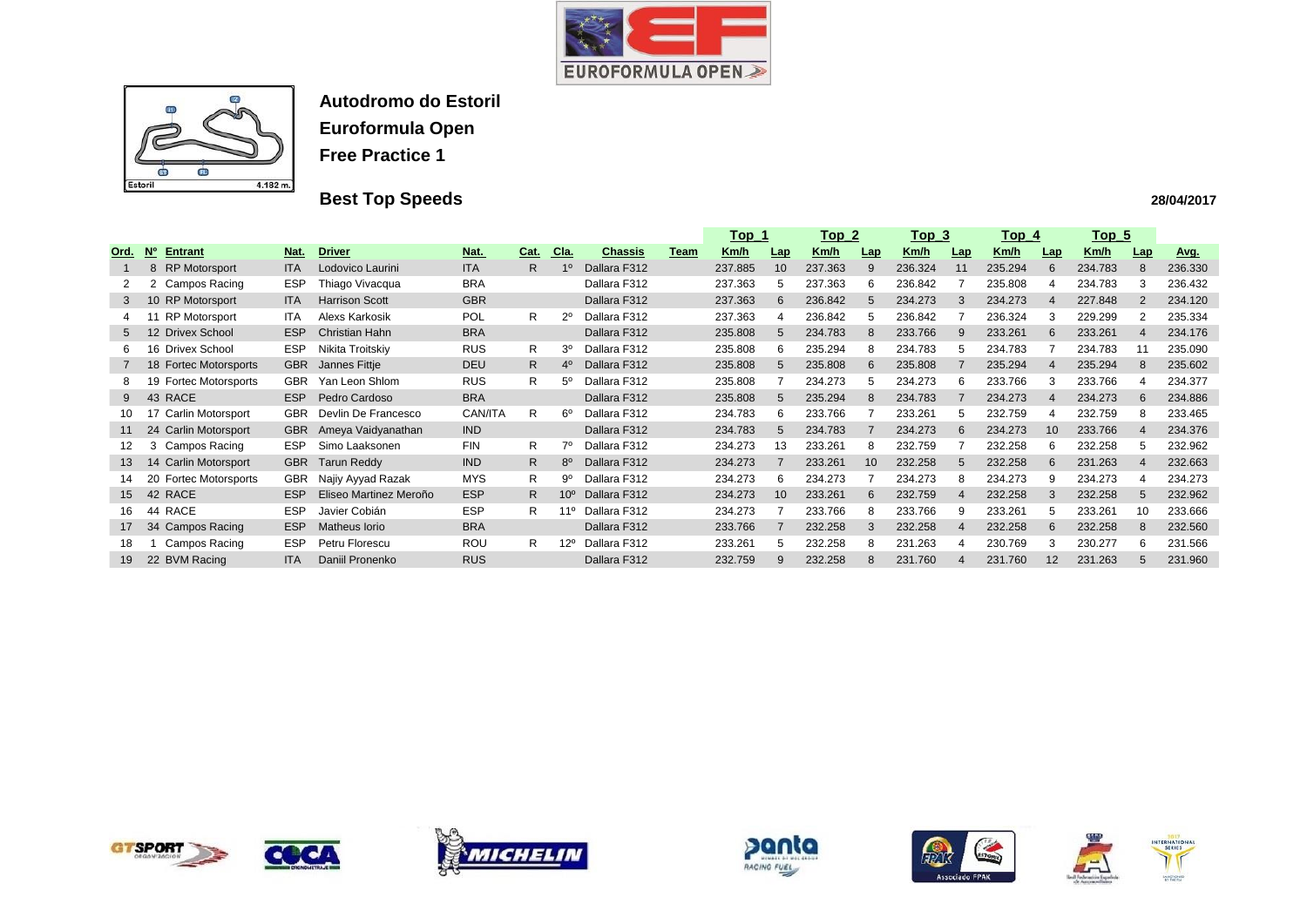



# **Best Top Speeds**

|                       |                                 |            |                        |            |      |                |                |             | <u>Top_1</u> |                 | <u>Top_2</u> |     | <u> Top_3</u> |            | <u>Top_4</u> |                  | <u>Top 5</u> |                       |         |
|-----------------------|---------------------------------|------------|------------------------|------------|------|----------------|----------------|-------------|--------------|-----------------|--------------|-----|---------------|------------|--------------|------------------|--------------|-----------------------|---------|
| <u>Ord.</u>           | <b>No</b><br><b>Entrant</b>     | Nat.       | <b>Driver</b>          | Nat.       | Cat. | Cla.           | <u>Chassis</u> | <u>Team</u> | <u>Km/h</u>  | Lap             | Km/h         | Lap | <u>Km/h</u>   | <b>Lap</b> | Km/h         | Lap              | <u>Km/h</u>  | Lap                   | Avg.    |
|                       | 8 RP Motorsport                 | <b>ITA</b> | Lodovico Laurini       | <b>ITA</b> | R.   |                | Dallara F312   |             | 237.885      | 10 <sup>1</sup> | 237.363      | 9   | 236.324       | 11         | 235.294      | 6                | 234.783      | 8                     | 236.330 |
| $\mathbf{2}^{\prime}$ | 2 Campos Racing                 | <b>ESP</b> | Thiago Vivacqua        | <b>BRA</b> |      |                | Dallara F312   |             | 237.363      | 5               | 237.363      | 6   | 236.842       |            | 235.808      |                  | 234.783      | 3                     | 236.432 |
| 3                     | 10 RP Motorsport                | <b>ITA</b> | <b>Harrison Scott</b>  | <b>GBR</b> |      |                | Dallara F312   |             | 237.363      | 6               | 236.842      | 5   | 234.273       | 3          | 234.273      | $\boldsymbol{4}$ | 227.848      | 2                     | 234.120 |
|                       | <b>RP Motorsport</b>            | <b>ITA</b> | Alexs Karkosik         | POL        | R.   |                | Dallara F312   |             | 237.363      |                 | 236.842      | 5   | 236.842       |            | 236.324      | 3                | 229.299      |                       | 235.334 |
| 5 <sup>5</sup>        | 12 Drivex School                | <b>ESP</b> | <b>Christian Hahn</b>  | <b>BRA</b> |      |                | Dallara F312   |             | 235.808      | 5               | 234.783      | 8   | 233.766       | 9          | 233.261      | 6                | 233.261      | $\boldsymbol{\Delta}$ | 234.176 |
| 6                     | 16 Drivex School                | <b>ESP</b> | Nikita Troitskiy       | <b>RUS</b> | R    | 3 <sup>o</sup> | Dallara F312   |             | 235.808      | 6               | 235.294      | 8   | 234.783       | 5          | 234.783      |                  | 234.783      |                       | 235.090 |
|                       | 18 Fortec Motorsports           | <b>GBR</b> | Jannes Fittje          | <b>DEU</b> | R.   | 4º             | Dallara F312   |             | 235.808      | 5               | 235.808      | 6   | 235.808       |            | 235.294      | $\Delta$         | 235.294      | 8                     | 235.602 |
| 8                     | <b>Fortec Motorsports</b><br>19 | <b>GBR</b> | Yan Leon Shlom         | <b>RUS</b> | R    | 5°             | Dallara F312   |             | 235.808      |                 | 234.273      | 5   | 234.273       | 6          | 233.766      | 3                | 233.766      | 4                     | 234.377 |
| 9                     | <b>RACE</b><br>43               | <b>ESP</b> | Pedro Cardoso          | <b>BRA</b> |      |                | Dallara F312   |             | 235.808      | 5               | 235.294      | 8   | 234.783       |            | 234.273      |                  | 234.273      | 6                     | 234.886 |
| 10.                   | 17 Carlin Motorsport            | <b>GBR</b> | Devlin De Francesco    | CAN/ITA    | R    | 60             | Dallara F312   |             | 234.783      | 6               | 233.766      |     | 233.261       | .h         | 232.759      |                  | 232.759      | 8                     | 233.465 |
| 11                    | 24 Carlin Motorsport            | <b>GBR</b> | Ameya Vaidyanathan     | <b>IND</b> |      |                | Dallara F312   |             | 234.783      | 5               | 234.783      |     | 234.273       | 6          | 234.273      | 10               | 233.766      | 4                     | 234.376 |
| 12.                   | Campos Racing<br>3              | <b>ESP</b> | Simo Laaksonen         | <b>FIN</b> | R.   |                | Dallara F312   |             | 234.273      | 13              | 233.261      | 8   | 232.759       |            | 232.258      | 6                | 232.258      | 5                     | 232.962 |
| 13                    | 14 Carlin Motorsport            | <b>GBR</b> | <b>Tarun Reddy</b>     | <b>IND</b> | R.   | $8^{\circ}$    | Dallara F312   |             | 234.273      |                 | 233.261      | 10  | 232.258       | 5          | 232.258      | 6                | 231.263      | $\overline{4}$        | 232.663 |
| 14.                   | 20 Fortec Motorsports           | <b>GBR</b> | Najiy Ayyad Razak      | <b>MYS</b> | R.   | 9º             | Dallara F312   |             | 234.273      | 6               | 234.273      |     | 234.273       |            | 234.273      | 9                | 234.273      | 4                     | 234.273 |
| 15 <sup>1</sup>       | 42 RACE                         | <b>ESP</b> | Eliseo Martinez Meroño | <b>ESP</b> | R.   | $10^{\circ}$   | Dallara F312   |             | 234.273      | 10              | 233.261      | 6   | 232.759       |            | 232.258      |                  | 232.258      | 5                     | 232.962 |
| 16                    | 44 RACE                         | <b>ESP</b> | Javier Cobián          | <b>ESP</b> | R.   | 1º             | Dallara F312   |             | 234.273      |                 | 233.766      | 8   | 233.766       | 9          | 233.261      | 5                | 233.261      | 10                    | 233.666 |
| 17                    | 34 Campos Racing                | <b>ESP</b> | <b>Matheus lorio</b>   | <b>BRA</b> |      |                | Dallara F312   |             | 233.766      |                 | 232.258      | 3   | 232.258       | 4          | 232.258      | 6                | 232.258      | 8                     | 232.560 |
| 18                    | Campos Racing                   | <b>ESP</b> | Petru Florescu         | <b>ROU</b> | R.   | $12^{\circ}$   | Dallara F312   |             | 233.261      | 5               | 232.258      | 8   | 231.263       | 4          | 230.769      | 3                | 230.277      | 6                     | 231.566 |
| 19                    | 22 BVM Racing                   | <b>ITA</b> | Daniil Pronenko        | <b>RUS</b> |      |                | Dallara F312   |             | 232.759      | 9               | 232.258      | 8   | 231.760       |            | 231.760      | 12               | 231.263      | 5                     | 231.960 |













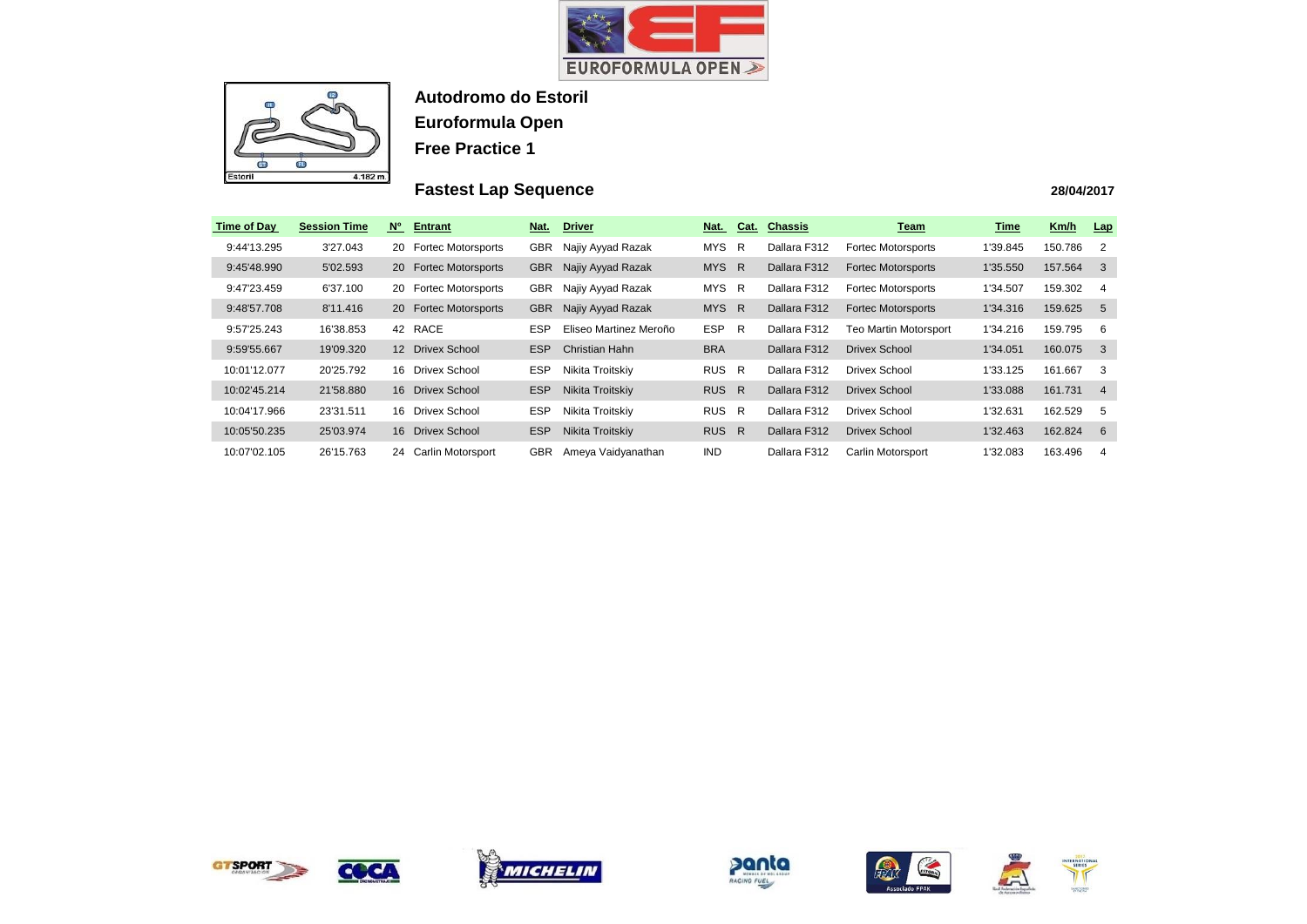



## **Fastest Lap Sequence**

| <b>Time of Day</b> | <b>Session Time</b> | $N^{\circ}$<br><b>Entrant</b>           | Nat.       | <b>Driver</b>          | Nat.       | Cat.         | <b>Chassis</b> | Team                      | Time     | Km/h    | Lap            |
|--------------------|---------------------|-----------------------------------------|------------|------------------------|------------|--------------|----------------|---------------------------|----------|---------|----------------|
| 9:44'13.295        | 3'27.043            | <b>Fortec Motorsports</b><br><b>20</b>  | <b>GBR</b> | Najiy Ayyad Razak      | <b>MYS</b> | R            | Dallara F312   | <b>Fortec Motorsports</b> | 1'39.845 | 150.786 | -2             |
| 9:45'48.990        | 5'02.593            | <b>Fortec Motorsports</b><br><b>20</b>  | <b>GBR</b> | Najiy Ayyad Razak      | <b>MYS</b> | R            | Dallara F312   | <b>Fortec Motorsports</b> | 1'35.550 | 157.564 | -3             |
| 9:47'23.459        | 6'37.100            | <b>Fortec Motorsports</b><br><b>20</b>  | <b>GBR</b> | Najiy Ayyad Razak      | <b>MYS</b> | R            | Dallara F312   | <b>Fortec Motorsports</b> | 1'34.507 | 159.302 | 4              |
| 9:48'57.708        | 8'11.416            | <b>Fortec Motorsports</b><br><b>20</b>  | <b>GBR</b> | Najiy Ayyad Razak      | MYS R      |              | Dallara F312   | <b>Fortec Motorsports</b> | 1'34.316 | 159.625 | -5             |
| 9:57'25.243        | 16'38.853           | 42 RACE                                 | <b>ESP</b> | Eliseo Martinez Meroño | <b>ESP</b> | $\mathsf{R}$ | Dallara F312   | Teo Martin Motorsport     | 1'34.216 | 159.795 | -6             |
| 9:59'55.667        | 19'09.320           | <b>Drivex School</b><br>12 <sup>2</sup> | <b>ESP</b> | Christian Hahn         | <b>BRA</b> |              | Dallara F312   | <b>Drivex School</b>      | 1'34.051 | 160.075 | -3             |
| 10:01'12.077       | 20'25.792           | Drivex School<br>16.                    | <b>ESP</b> | Nikita Troitskiy       | <b>RUS</b> | R            | Dallara F312   | <b>Drivex School</b>      | 1'33.125 | 161.667 | 3              |
| 10:02'45.214       | 21'58.880           | 16 Drivex School                        | <b>ESP</b> | Nikita Troitskiy       | <b>RUS</b> | R            | Dallara F312   | <b>Drivex School</b>      | 1'33.088 | 161.731 | $\overline{4}$ |
| 10:04'17.966       | 23'31.511           | Drivex School<br>16.                    | <b>ESP</b> | Nikita Troitskiy       | RUS R      |              | Dallara F312   | <b>Drivex School</b>      | 1'32.631 | 162.529 | -5             |
| 10:05'50.235       | 25'03.974           | <b>Drivex School</b><br>16.             | <b>ESP</b> | Nikita Troitskiy       | RUS R      |              | Dallara F312   | Drivex School             | 1'32.463 | 162.824 | - 6            |
| 10:07'02.105       | 26'15.763           | 24<br>Carlin Motorsport                 | <b>GBR</b> | Ameya Vaidyanathan     | IND.       |              | Dallara F312   | Carlin Motorsport         | 1'32.083 | 163.496 | 4              |



COCA